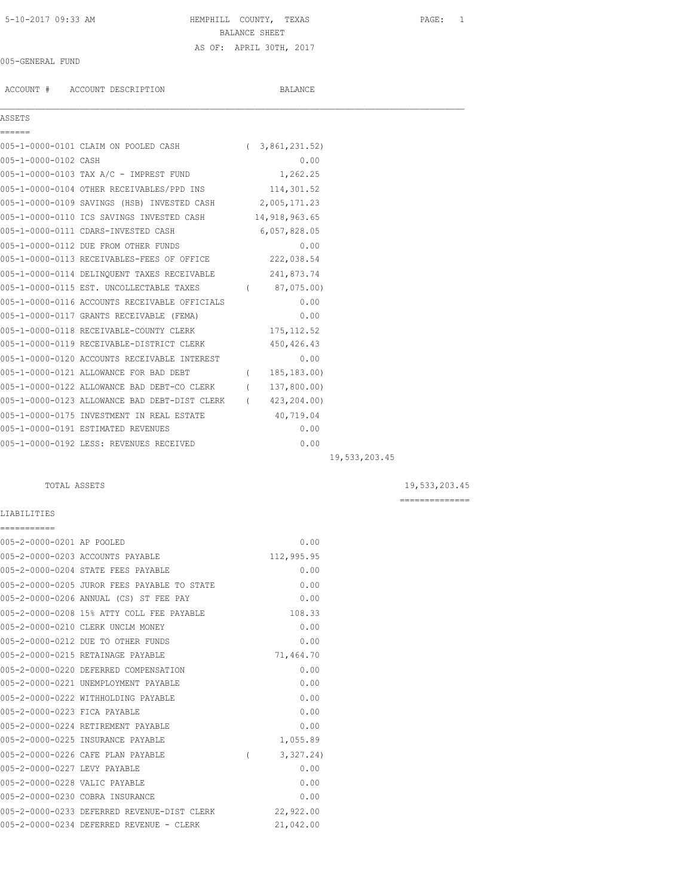# 5-10-2017 09:33 AM HEMPHILL COUNTY, TEXAS PAGE: 1 BALANCE SHEET AS OF: APRIL 30TH, 2017

## 005-GENERAL FUND

ACCOUNT # ACCOUNT DESCRIPTION BALANCE

## ASSETS

| ======               |                                                            |                |  |
|----------------------|------------------------------------------------------------|----------------|--|
|                      | 005-1-0000-0101 CLAIM ON POOLED CASH (3,861,231.52)        |                |  |
| 005-1-0000-0102 CASH |                                                            | 0.00           |  |
|                      | 005-1-0000-0103 TAX A/C - IMPREST FUND                     | 1,262.25       |  |
|                      | 005-1-0000-0104 OTHER RECEIVABLES/PPD INS 114,301.52       |                |  |
|                      | 005-1-0000-0109 SAVINGS (HSB) INVESTED CASH 2,005,171.23   |                |  |
|                      | 005-1-0000-0110 ICS SAVINGS INVESTED CASH 14,918,963.65    |                |  |
|                      | 005-1-0000-0111 CDARS-INVESTED CASH                        | 6,057,828.05   |  |
|                      | 005-1-0000-0112 DUE FROM OTHER FUNDS                       | 0.00           |  |
|                      | 005-1-0000-0113 RECEIVABLES-FEES OF OFFICE 222,038.54      |                |  |
|                      | 005-1-0000-0114 DELINQUENT TAXES RECEIVABLE 241,873.74     |                |  |
|                      | 005-1-0000-0115 EST. UNCOLLECTABLE TAXES (87,075.00)       |                |  |
|                      | 005-1-0000-0116 ACCOUNTS RECEIVABLE OFFICIALS              | 0.00           |  |
|                      | 005-1-0000-0117 GRANTS RECEIVABLE (FEMA)                   | 0.00           |  |
|                      | 005-1-0000-0118 RECEIVABLE-COUNTY CLERK 175,112.52         |                |  |
|                      | 005-1-0000-0119 RECEIVABLE-DISTRICT CLERK                  | 450,426.43     |  |
|                      | 005-1-0000-0120 ACCOUNTS RECEIVABLE INTEREST               | 0.00           |  |
|                      | 005-1-0000-0121 ALLOWANCE FOR BAD DEBT                     | (185, 183, 00) |  |
|                      | 005-1-0000-0122 ALLOWANCE BAD DEBT-CO CLERK (137,800.00)   |                |  |
|                      | 005-1-0000-0123 ALLOWANCE BAD DEBT-DIST CLERK (423,204.00) |                |  |
|                      | 005-1-0000-0175 INVESTMENT IN REAL ESTATE                  | 40,719.04      |  |
|                      | 005-1-0000-0191 ESTIMATED REVENUES                         | 0.00           |  |
|                      | 005-1-0000-0192 LESS: REVENUES RECEIVED                    | 0.00           |  |
|                      |                                                            |                |  |

 $\mathcal{L}_\mathcal{L} = \mathcal{L}_\mathcal{L}$ 

19,533,203.45

## TOTAL ASSETS 19,533,203.45

==============

## LIABILITIES

| ===========                   |                                             |            |
|-------------------------------|---------------------------------------------|------------|
| 005-2-0000-0201 AP POOLED     |                                             | 0.00       |
|                               | 005-2-0000-0203 ACCOUNTS PAYABLE            | 112,995.95 |
|                               | 005-2-0000-0204 STATE FEES PAYABLE          | 0.00       |
|                               | 005-2-0000-0205 JUROR FEES PAYABLE TO STATE | 0.00       |
|                               | 005-2-0000-0206 ANNUAL (CS) ST FEE PAY      | 0.00       |
|                               | 005-2-0000-0208 15% ATTY COLL FEE PAYABLE   | 108.33     |
|                               | 005-2-0000-0210 CLERK UNCLM MONEY           | 0.00       |
|                               | 005-2-0000-0212 DUE TO OTHER FUNDS          | 0.00       |
|                               | 005-2-0000-0215 RETAINAGE PAYABLE           | 71,464.70  |
|                               | 005-2-0000-0220 DEFERRED COMPENSATION       | 0.00       |
|                               | 005-2-0000-0221 UNEMPLOYMENT PAYABLE        | 0.00       |
|                               | 005-2-0000-0222 WITHHOLDING PAYABLE         | 0.00       |
| 005-2-0000-0223 FICA PAYABLE  |                                             | 0.00       |
|                               | 005-2-0000-0224 RETIREMENT PAYABLE          | 0.00       |
|                               | 005-2-0000-0225 INSURANCE PAYABLE           | 1,055.89   |
|                               | 005-2-0000-0226 CAFE PLAN PAYABLE           | 3,327.24)  |
| 005-2-0000-0227 LEVY PAYABLE  |                                             | 0.00       |
| 005-2-0000-0228 VALIC PAYABLE |                                             | 0.00       |
|                               | 005-2-0000-0230 COBRA INSURANCE             | 0.00       |
|                               | 005-2-0000-0233 DEFERRED REVENUE-DIST CLERK | 22,922.00  |
|                               | 005-2-0000-0234 DEFERRED REVENUE - CLERK    | 21,042.00  |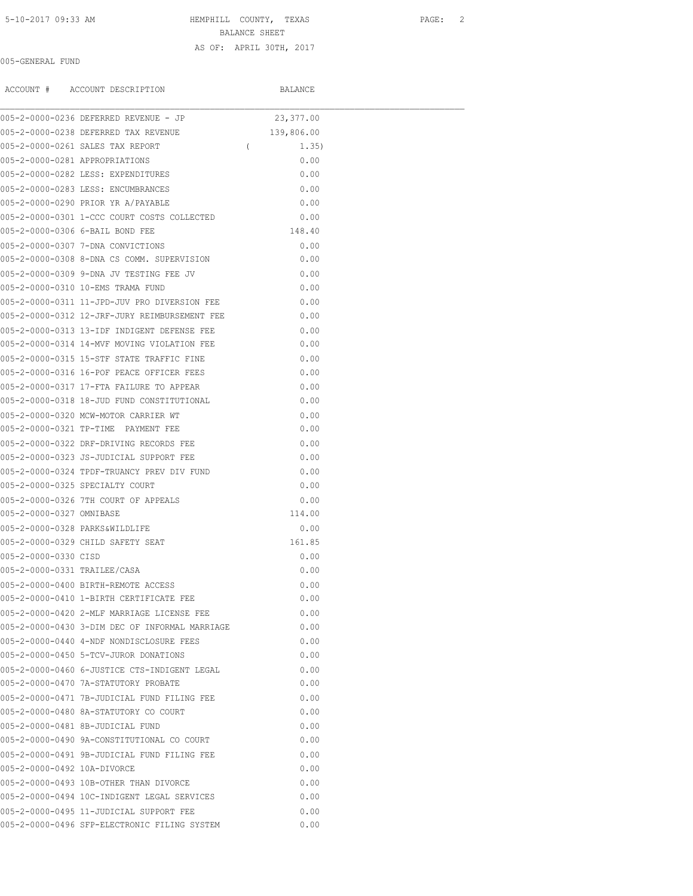## 5-10-2017 09:33 AM HEMPHILL COUNTY, TEXAS PAGE: 2

BALANCE SHEET

## 005-GENERAL FUND

AS OF: APRIL 30TH, 2017

|                                | ACCOUNT # ACCOUNT DESCRIPTION                  |            | BALANCE    |  |
|--------------------------------|------------------------------------------------|------------|------------|--|
|                                | 005-2-0000-0236 DEFERRED REVENUE - JP          |            | 23,377.00  |  |
|                                | 005-2-0000-0238 DEFERRED TAX REVENUE           |            | 139,806.00 |  |
|                                | 005-2-0000-0261 SALES TAX REPORT               | $\sqrt{2}$ | 1.35)      |  |
| 005-2-0000-0281 APPROPRIATIONS |                                                |            | 0.00       |  |
|                                | 005-2-0000-0282 LESS: EXPENDITURES             |            | 0.00       |  |
|                                | 005-2-0000-0283 LESS: ENCUMBRANCES             |            | 0.00       |  |
|                                | 005-2-0000-0290 PRIOR YR A/PAYABLE             |            | 0.00       |  |
|                                | 005-2-0000-0301 1-CCC COURT COSTS COLLECTED    |            | 0.00       |  |
|                                | 005-2-0000-0306 6-BAIL BOND FEE                |            | 148.40     |  |
|                                | 005-2-0000-0307 7-DNA CONVICTIONS              |            | 0.00       |  |
|                                | 005-2-0000-0308 8-DNA CS COMM. SUPERVISION     |            | 0.00       |  |
|                                | 005-2-0000-0309 9-DNA JV TESTING FEE JV        |            | 0.00       |  |
|                                | 005-2-0000-0310 10-EMS TRAMA FUND              |            | 0.00       |  |
|                                | 005-2-0000-0311 11-JPD-JUV PRO DIVERSION FEE   |            | 0.00       |  |
|                                | 005-2-0000-0312 12-JRF-JURY REIMBURSEMENT FEE  |            | 0.00       |  |
|                                | 005-2-0000-0313 13-IDF INDIGENT DEFENSE FEE    |            | 0.00       |  |
|                                | 005-2-0000-0314 14-MVF MOVING VIOLATION FEE    |            | 0.00       |  |
|                                | 005-2-0000-0315 15-STF STATE TRAFFIC FINE      |            | 0.00       |  |
|                                | 005-2-0000-0316 16-POF PEACE OFFICER FEES      |            | 0.00       |  |
|                                | 005-2-0000-0317 17-FTA FAILURE TO APPEAR       |            | 0.00       |  |
|                                | 005-2-0000-0318 18-JUD FUND CONSTITUTIONAL     |            | 0.00       |  |
|                                | 005-2-0000-0320 MCW-MOTOR CARRIER WT           |            | 0.00       |  |
|                                | 005-2-0000-0321 TP-TIME PAYMENT FEE            |            | 0.00       |  |
|                                | 005-2-0000-0322 DRF-DRIVING RECORDS FEE        |            | 0.00       |  |
|                                | 005-2-0000-0323 JS-JUDICIAL SUPPORT FEE        |            | 0.00       |  |
|                                | 005-2-0000-0324 TPDF-TRUANCY PREV DIV FUND     |            | 0.00       |  |
|                                | 005-2-0000-0325 SPECIALTY COURT                |            | 0.00       |  |
|                                | 005-2-0000-0326 7TH COURT OF APPEALS           |            | 0.00       |  |
| 005-2-0000-0327 OMNIBASE       |                                                |            | 114.00     |  |
|                                | 005-2-0000-0328 PARKS&WILDLIFE                 |            | 0.00       |  |
|                                | 005-2-0000-0329 CHILD SAFETY SEAT              |            | 161.85     |  |
| 005-2-0000-0330 CISD           |                                                |            | 0.00       |  |
| 005-2-0000-0331 TRAILEE/CASA   |                                                |            | 0.00       |  |
|                                | 005-2-0000-0400 BIRTH-REMOTE ACCESS            |            | 0.00       |  |
|                                | 005-2-0000-0410 1-BIRTH CERTIFICATE FEE        |            | 0.00       |  |
|                                | 005-2-0000-0420 2-MLF MARRIAGE LICENSE FEE     |            | 0.00       |  |
|                                | 005-2-0000-0430 3-DIM DEC OF INFORMAL MARRIAGE |            | 0.00       |  |
|                                | 005-2-0000-0440 4-NDF NONDISCLOSURE FEES       |            | 0.00       |  |
|                                | 005-2-0000-0450 5-TCV-JUROR DONATIONS          |            | 0.00       |  |
|                                | 005-2-0000-0460 6-JUSTICE CTS-INDIGENT LEGAL   |            | 0.00       |  |
|                                | 005-2-0000-0470 7A-STATUTORY PROBATE           |            | 0.00       |  |
|                                | 005-2-0000-0471 7B-JUDICIAL FUND FILING FEE    |            | 0.00       |  |
|                                | 005-2-0000-0480 8A-STATUTORY CO COURT          |            | 0.00       |  |
|                                | 005-2-0000-0481 8B-JUDICIAL FUND               |            | 0.00       |  |
|                                | 005-2-0000-0490 9A-CONSTITUTIONAL CO COURT     |            | 0.00       |  |
|                                | 005-2-0000-0491 9B-JUDICIAL FUND FILING FEE    |            | 0.00       |  |
| 005-2-0000-0492 10A-DIVORCE    |                                                |            | 0.00       |  |
|                                | 005-2-0000-0493 10B-OTHER THAN DIVORCE         |            | 0.00       |  |
|                                | 005-2-0000-0494 10C-INDIGENT LEGAL SERVICES    |            | 0.00       |  |
|                                | 005-2-0000-0495 11-JUDICIAL SUPPORT FEE        |            |            |  |
|                                |                                                |            | 0.00       |  |
|                                | 005-2-0000-0496 SFP-ELECTRONIC FILING SYSTEM   |            | 0.00       |  |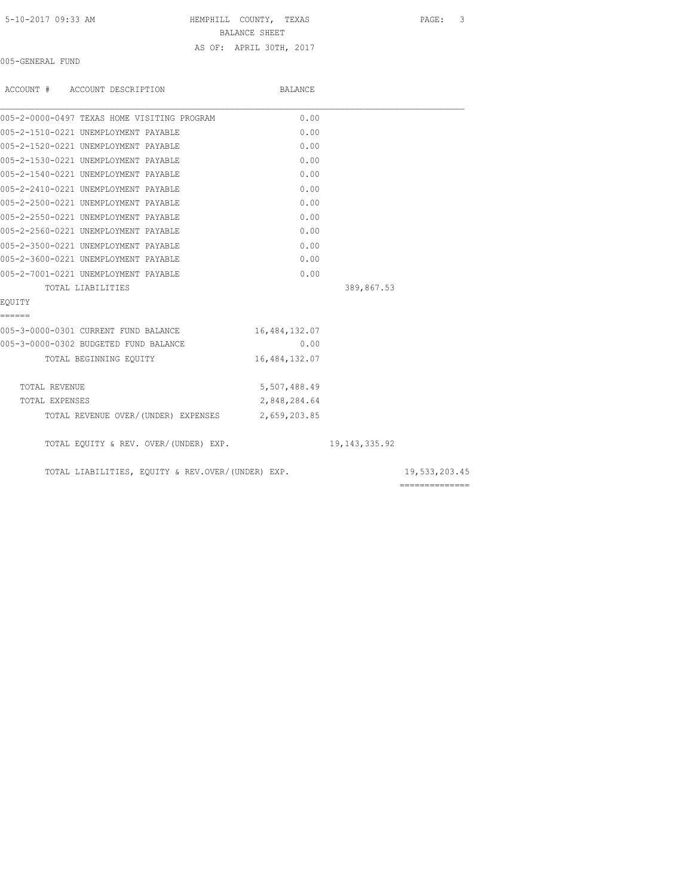| 5-10-2017 09:33 AM |  |  |
|--------------------|--|--|
|--------------------|--|--|

HEMPHILL COUNTY, TEXAS PAGE: 3

BALANCE SHEET

## AS OF: APRIL 30TH, 2017

005-GENERAL FUND

| ACCOUNT # ACCOUNT DESCRIPTION                     | BALANCE       |                 |                |
|---------------------------------------------------|---------------|-----------------|----------------|
| 005-2-0000-0497 TEXAS HOME VISITING PROGRAM       | 0.00          |                 |                |
| 005-2-1510-0221 UNEMPLOYMENT PAYABLE              | 0.00          |                 |                |
| 005-2-1520-0221 UNEMPLOYMENT PAYABLE              | 0.00          |                 |                |
| 005-2-1530-0221 UNEMPLOYMENT PAYABLE              | 0.00          |                 |                |
| 005-2-1540-0221 UNEMPLOYMENT PAYABLE              | 0.00          |                 |                |
| 005-2-2410-0221 UNEMPLOYMENT PAYABLE              | 0.00          |                 |                |
| 005-2-2500-0221 UNEMPLOYMENT PAYABLE              | 0.00          |                 |                |
| 005-2-2550-0221 UNEMPLOYMENT PAYABLE              | 0.00          |                 |                |
| 005-2-2560-0221 UNEMPLOYMENT PAYABLE              | 0.00          |                 |                |
| 005-2-3500-0221 UNEMPLOYMENT PAYABLE              | 0.00          |                 |                |
| 005-2-3600-0221 UNEMPLOYMENT PAYABLE              | 0.00          |                 |                |
| 005-2-7001-0221 UNEMPLOYMENT PAYABLE              | 0.00          |                 |                |
| TOTAL LIABILITIES                                 |               | 389,867.53      |                |
| EOUITY                                            |               |                 |                |
| ======                                            |               |                 |                |
| 005-3-0000-0301 CURRENT FUND BALANCE              | 16,484,132.07 |                 |                |
| 005-3-0000-0302 BUDGETED FUND BALANCE             | 0.00          |                 |                |
| TOTAL BEGINNING EQUITY                            | 16,484,132.07 |                 |                |
| TOTAL REVENUE                                     | 5,507,488.49  |                 |                |
| TOTAL EXPENSES                                    | 2,848,284.64  |                 |                |
| TOTAL REVENUE OVER/(UNDER) EXPENSES 2,659,203.85  |               |                 |                |
| TOTAL EQUITY & REV. OVER/(UNDER) EXP.             |               | 19, 143, 335.92 |                |
| TOTAL LIABILITIES, EQUITY & REV.OVER/(UNDER) EXP. |               |                 | 19,533,203.45  |
|                                                   |               |                 | ============== |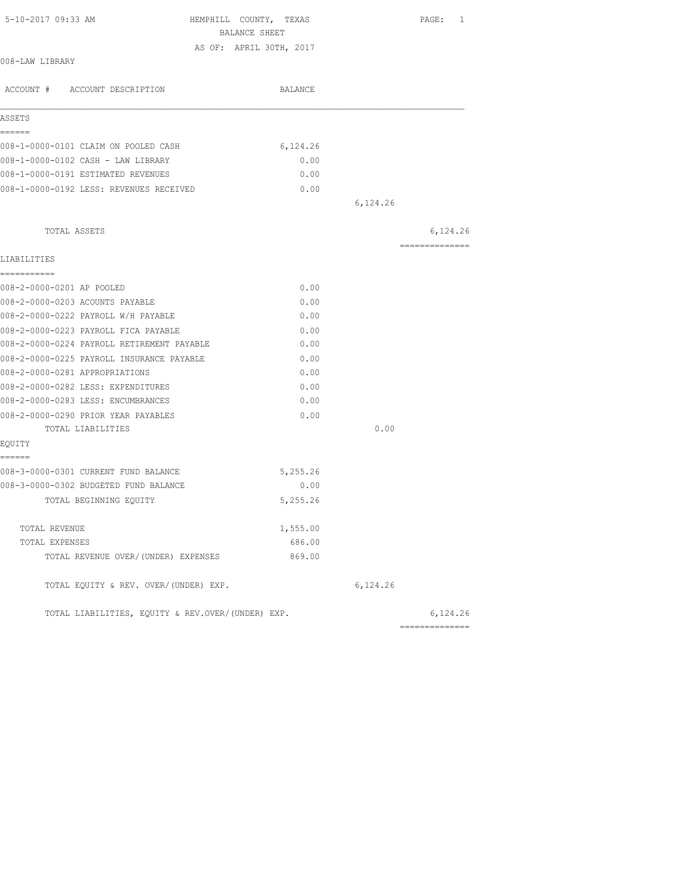|                                                   | BALANCE SHEET           |          |                |
|---------------------------------------------------|-------------------------|----------|----------------|
|                                                   | AS OF: APRIL 30TH, 2017 |          |                |
| 008-LAW LIBRARY                                   |                         |          |                |
| ACCOUNT # ACCOUNT DESCRIPTION                     | BALANCE                 |          |                |
| ASSETS                                            |                         |          |                |
| ======                                            |                         |          |                |
| 008-1-0000-0101 CLAIM ON POOLED CASH              | 6,124.26                |          |                |
| 008-1-0000-0102 CASH - LAW LIBRARY                | 0.00                    |          |                |
| 008-1-0000-0191 ESTIMATED REVENUES                | 0.00                    |          |                |
| 008-1-0000-0192 LESS: REVENUES RECEIVED           | 0.00                    |          |                |
|                                                   |                         | 6,124.26 |                |
| TOTAL ASSETS                                      |                         |          | 6,124.26       |
| LIABILITIES                                       |                         |          | ============== |
| ===========                                       |                         |          |                |
| 008-2-0000-0201 AP POOLED                         | 0.00                    |          |                |
| 008-2-0000-0203 ACOUNTS PAYABLE                   | 0.00                    |          |                |
| 008-2-0000-0222 PAYROLL W/H PAYABLE               | 0.00                    |          |                |
| 008-2-0000-0223 PAYROLL FICA PAYABLE              | 0.00                    |          |                |
| 008-2-0000-0224 PAYROLL RETIREMENT PAYABLE        | 0.00                    |          |                |
| 008-2-0000-0225 PAYROLL INSURANCE PAYABLE         | 0.00                    |          |                |
| 008-2-0000-0281 APPROPRIATIONS                    | 0.00                    |          |                |
| 008-2-0000-0282 LESS: EXPENDITURES                | 0.00                    |          |                |
| 008-2-0000-0283 LESS: ENCUMBRANCES                | 0.00                    |          |                |
| 008-2-0000-0290 PRIOR YEAR PAYABLES               | 0.00                    |          |                |
| TOTAL LIABILITIES                                 |                         | 0.00     |                |
| EQUITY                                            |                         |          |                |
| ======<br>008-3-0000-0301 CURRENT FUND BALANCE    | 5,255.26                |          |                |
| 008-3-0000-0302 BUDGETED FUND BALANCE             | 0.00                    |          |                |
| TOTAL BEGINNING EQUITY                            | 5,255.26                |          |                |
| TOTAL REVENUE                                     | 1,555.00                |          |                |
| TOTAL EXPENSES                                    | 686.00                  |          |                |
| TOTAL REVENUE OVER/(UNDER) EXPENSES               | 869.00                  |          |                |
| TOTAL EQUITY & REV. OVER/(UNDER) EXP.             |                         | 6,124.26 |                |
| TOTAL LIABILITIES, EQUITY & REV.OVER/(UNDER) EXP. |                         |          | 6,124.26       |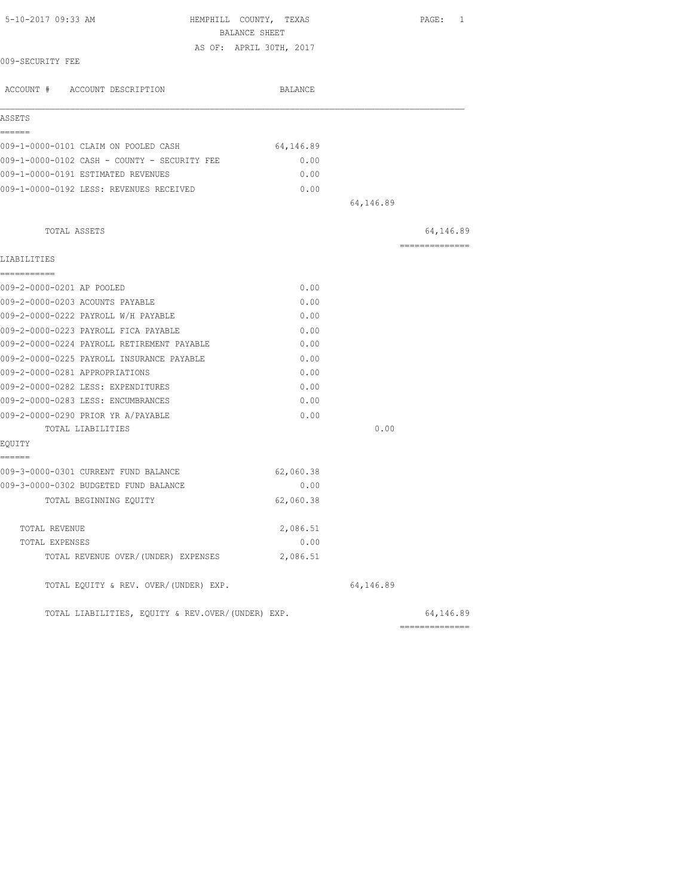| 5-10-2017 09:33 AM                                | HEMPHILL COUNTY, TEXAS<br>BALANCE SHEET |           | PAGE: 1        |
|---------------------------------------------------|-----------------------------------------|-----------|----------------|
|                                                   | AS OF: APRIL 30TH, 2017                 |           |                |
| 009-SECURITY FEE                                  |                                         |           |                |
| ACCOUNT # ACCOUNT DESCRIPTION                     | BALANCE                                 |           |                |
| ASSETS                                            |                                         |           |                |
| ======                                            |                                         |           |                |
| 009-1-0000-0101 CLAIM ON POOLED CASH              | 64,146.89                               |           |                |
| 009-1-0000-0102 CASH - COUNTY - SECURITY FEE      | 0.00                                    |           |                |
| 009-1-0000-0191 ESTIMATED REVENUES                | 0.00                                    |           |                |
| 009-1-0000-0192 LESS: REVENUES RECEIVED           | 0.00                                    |           |                |
|                                                   |                                         | 64,146.89 |                |
| TOTAL ASSETS                                      |                                         |           | 64,146.89      |
| LIABILITIES                                       |                                         |           | ============== |
| -----------                                       |                                         |           |                |
| 009-2-0000-0201 AP POOLED                         | 0.00                                    |           |                |
| 009-2-0000-0203 ACOUNTS PAYABLE                   | 0.00                                    |           |                |
| 009-2-0000-0222 PAYROLL W/H PAYABLE               | 0.00                                    |           |                |
| 009-2-0000-0223 PAYROLL FICA PAYABLE              | 0.00                                    |           |                |
| 009-2-0000-0224 PAYROLL RETIREMENT PAYABLE        | 0.00                                    |           |                |
| 009-2-0000-0225 PAYROLL INSURANCE PAYABLE         | 0.00                                    |           |                |
| 009-2-0000-0281 APPROPRIATIONS                    | 0.00                                    |           |                |
| 009-2-0000-0282 LESS: EXPENDITURES                | 0.00                                    |           |                |
| 009-2-0000-0283 LESS: ENCUMBRANCES                | 0.00                                    |           |                |
| 009-2-0000-0290 PRIOR YR A/PAYABLE                | 0.00                                    |           |                |
| TOTAL LIABILITIES                                 |                                         | 0.00      |                |
| EQUITY                                            |                                         |           |                |
| ======<br>009-3-0000-0301 CURRENT FUND BALANCE    | 62,060.38                               |           |                |
| 009-3-0000-0302 BUDGETED FUND BALANCE             | 0.00                                    |           |                |
| TOTAL BEGINNING EQUITY                            | 62,060.38                               |           |                |
|                                                   |                                         |           |                |
| TOTAL REVENUE                                     | 2,086.51                                |           |                |
| TOTAL EXPENSES                                    | 0.00                                    |           |                |
| TOTAL REVENUE OVER/(UNDER) EXPENSES               | 2,086.51                                |           |                |
| TOTAL EQUITY & REV. OVER/(UNDER) EXP.             |                                         | 64,146.89 |                |
| TOTAL LIABILITIES, EQUITY & REV.OVER/(UNDER) EXP. |                                         |           | 64,146.89      |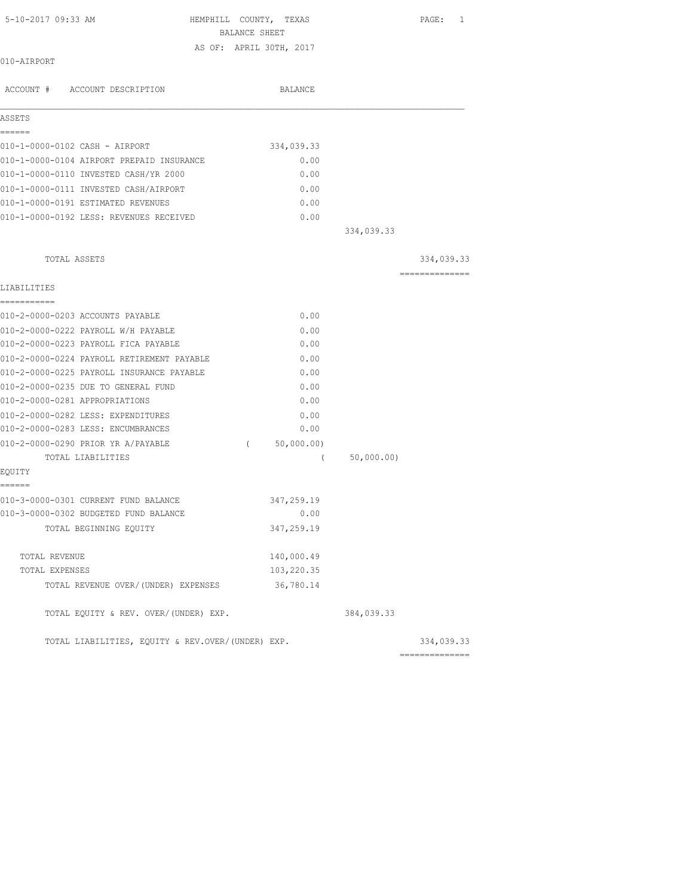| 5-10-2017 09:33 AM                                | HEMPHILL COUNTY, TEXAS<br>BALANCE SHEET |            | PAGE: 1        |
|---------------------------------------------------|-----------------------------------------|------------|----------------|
|                                                   | AS OF: APRIL 30TH, 2017                 |            |                |
| 010-AIRPORT                                       |                                         |            |                |
| ACCOUNT # ACCOUNT DESCRIPTION                     | BALANCE                                 |            |                |
| ASSETS                                            |                                         |            |                |
| ------                                            |                                         |            |                |
| 010-1-0000-0102 CASH - AIRPORT                    | 334,039.33                              |            |                |
| 010-1-0000-0104 AIRPORT PREPAID INSURANCE         | 0.00                                    |            |                |
| 010-1-0000-0110 INVESTED CASH/YR 2000             | 0.00                                    |            |                |
| 010-1-0000-0111 INVESTED CASH/AIRPORT             | 0.00                                    |            |                |
| 010-1-0000-0191 ESTIMATED REVENUES                | 0.00                                    |            |                |
| 010-1-0000-0192 LESS: REVENUES RECEIVED           | 0.00                                    |            |                |
|                                                   |                                         | 334,039.33 |                |
| TOTAL ASSETS                                      |                                         |            | 334,039.33     |
|                                                   |                                         |            | ============== |
| LIABILITIES<br>===========                        |                                         |            |                |
| 010-2-0000-0203 ACCOUNTS PAYABLE                  | 0.00                                    |            |                |
| 010-2-0000-0222 PAYROLL W/H PAYABLE               | 0.00                                    |            |                |
| 010-2-0000-0223 PAYROLL FICA PAYABLE              | 0.00                                    |            |                |
| 010-2-0000-0224 PAYROLL RETIREMENT PAYABLE        | 0.00                                    |            |                |
| 010-2-0000-0225 PAYROLL INSURANCE PAYABLE         | 0.00                                    |            |                |
| 010-2-0000-0235 DUE TO GENERAL FUND               | 0.00                                    |            |                |
| 010-2-0000-0281 APPROPRIATIONS                    | 0.00                                    |            |                |
| 010-2-0000-0282 LESS: EXPENDITURES                | 0.00                                    |            |                |
| 010-2-0000-0283 LESS: ENCUMBRANCES                | 0.00                                    |            |                |
| 010-2-0000-0290 PRIOR YR A/PAYABLE                | 50,000.00)<br>$\left($                  |            |                |
| TOTAL LIABILITIES                                 | $\left($                                | 50,000.00) |                |
| EQUITY                                            |                                         |            |                |
| ======<br>010-3-0000-0301 CURRENT FUND BALANCE    | 347,259.19                              |            |                |
| 010-3-0000-0302 BUDGETED FUND BALANCE             | 0.00                                    |            |                |
| TOTAL BEGINNING EQUITY                            | 347,259.19                              |            |                |
| TOTAL REVENUE                                     | 140,000.49                              |            |                |
| TOTAL EXPENSES                                    | 103,220.35                              |            |                |
| TOTAL REVENUE OVER/(UNDER) EXPENSES               | 36,780.14                               |            |                |
| TOTAL EQUITY & REV. OVER/(UNDER) EXP.             |                                         | 384,039.33 |                |
| TOTAL LIABILITIES, EQUITY & REV.OVER/(UNDER) EXP. |                                         |            | 334,039.33     |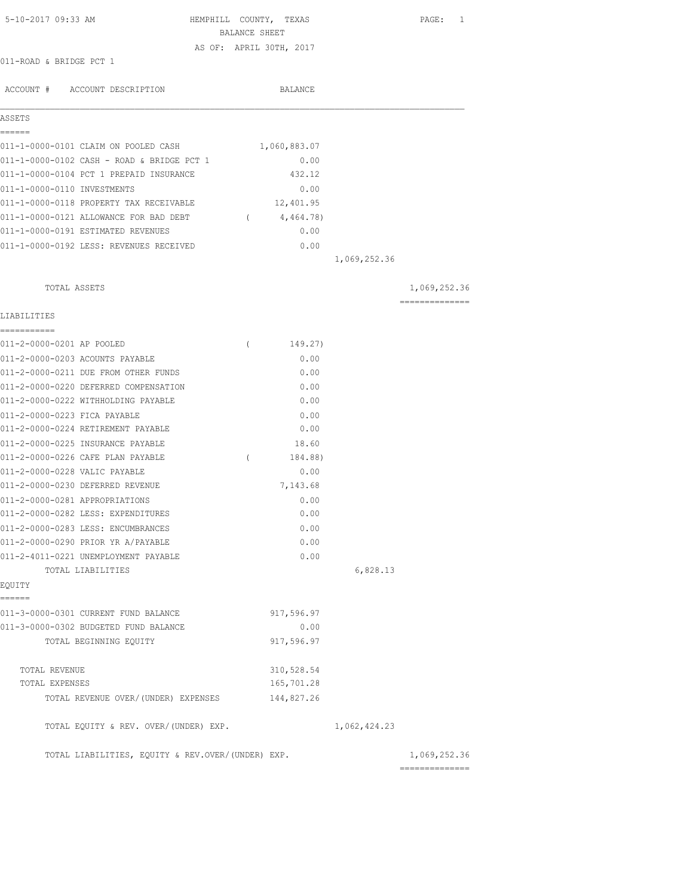| 5-10-2017 09:33 AM                                | BALANCE SHEET | HEMPHILL COUNTY, TEXAS  |              | 1<br>PAGE:     |
|---------------------------------------------------|---------------|-------------------------|--------------|----------------|
|                                                   |               | AS OF: APRIL 30TH, 2017 |              |                |
| 011-ROAD & BRIDGE PCT 1                           |               |                         |              |                |
| ACCOUNT # ACCOUNT DESCRIPTION                     |               | BALANCE                 |              |                |
| ASSETS                                            |               |                         |              |                |
| ======<br>011-1-0000-0101 CLAIM ON POOLED CASH    |               | 1,060,883.07            |              |                |
| 011-1-0000-0102 CASH - ROAD & BRIDGE PCT 1        |               | 0.00                    |              |                |
| 011-1-0000-0104 PCT 1 PREPAID INSURANCE           |               | 432.12                  |              |                |
| 011-1-0000-0110 INVESTMENTS                       |               | 0.00                    |              |                |
| 011-1-0000-0118 PROPERTY TAX RECEIVABLE           |               | 12,401.95               |              |                |
| 011-1-0000-0121 ALLOWANCE FOR BAD DEBT            |               | (4, 464.78)             |              |                |
| 011-1-0000-0191 ESTIMATED REVENUES                |               | 0.00                    |              |                |
| 011-1-0000-0192 LESS: REVENUES RECEIVED           |               | 0.00                    |              |                |
|                                                   |               |                         | 1,069,252.36 |                |
| TOTAL ASSETS                                      |               |                         |              | 1,069,252.36   |
|                                                   |               |                         |              | ============== |
| LIABILITIES                                       |               |                         |              |                |
| ===========<br>011-2-0000-0201 AP POOLED          | $\left($      | 149.27)                 |              |                |
| 011-2-0000-0203 ACOUNTS PAYABLE                   |               | 0.00                    |              |                |
| 011-2-0000-0211 DUE FROM OTHER FUNDS              |               | 0.00                    |              |                |
| 011-2-0000-0220 DEFERRED COMPENSATION             |               | 0.00                    |              |                |
| 011-2-0000-0222 WITHHOLDING PAYABLE               |               | 0.00                    |              |                |
| 011-2-0000-0223 FICA PAYABLE                      |               | 0.00                    |              |                |
| 011-2-0000-0224 RETIREMENT PAYABLE                |               | 0.00                    |              |                |
| 011-2-0000-0225 INSURANCE PAYABLE                 |               | 18.60                   |              |                |
| 011-2-0000-0226 CAFE PLAN PAYABLE                 | $\sqrt{2}$    | 184.88)                 |              |                |
| 011-2-0000-0228 VALIC PAYABLE                     |               | 0.00                    |              |                |
| 011-2-0000-0230 DEFERRED REVENUE                  |               | 7,143.68                |              |                |
| 011-2-0000-0281 APPROPRIATIONS                    |               | 0.00                    |              |                |
| 011-2-0000-0282 LESS: EXPENDITURES                |               | 0.00                    |              |                |
| 011-2-0000-0283 LESS: ENCUMBRANCES                |               | 0.00                    |              |                |
| 011-2-0000-0290 PRIOR YR A/PAYABLE                |               | 0.00                    |              |                |
| 011-2-4011-0221 UNEMPLOYMENT PAYABLE              |               | 0.00                    |              |                |
| TOTAL LIABILITIES                                 |               |                         | 6,828.13     |                |
| EQUITY<br>======                                  |               |                         |              |                |
| 011-3-0000-0301 CURRENT FUND BALANCE              |               | 917,596.97              |              |                |
| 011-3-0000-0302 BUDGETED FUND BALANCE             |               | 0.00                    |              |                |
| TOTAL BEGINNING EQUITY                            |               | 917,596.97              |              |                |
| TOTAL REVENUE                                     |               | 310,528.54              |              |                |
| TOTAL EXPENSES                                    |               | 165,701.28              |              |                |
| TOTAL REVENUE OVER/(UNDER) EXPENSES               |               | 144,827.26              |              |                |
| TOTAL EQUITY & REV. OVER/(UNDER) EXP.             |               |                         | 1,062,424.23 |                |
| TOTAL LIABILITIES, EQUITY & REV.OVER/(UNDER) EXP. |               |                         |              | 1,069,252.36   |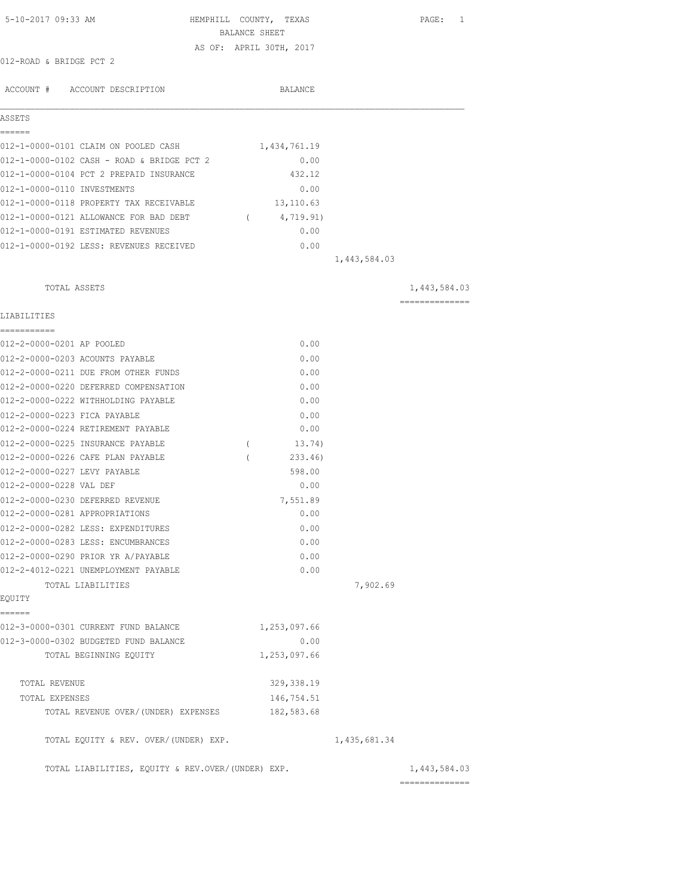| 5-10-2017 09:33 AM                                | HEMPHILL COUNTY, TEXAS<br>BALANCE SHEET |              | PAGE: 1                         |
|---------------------------------------------------|-----------------------------------------|--------------|---------------------------------|
|                                                   | AS OF: APRIL 30TH, 2017                 |              |                                 |
| 012-ROAD & BRIDGE PCT 2                           |                                         |              |                                 |
| ACCOUNT # ACCOUNT DESCRIPTION                     | BALANCE                                 |              |                                 |
| ASSETS                                            |                                         |              |                                 |
| ======<br>012-1-0000-0101 CLAIM ON POOLED CASH    | 1,434,761.19                            |              |                                 |
| 012-1-0000-0102 CASH - ROAD & BRIDGE PCT 2        | 0.00                                    |              |                                 |
| 012-1-0000-0104 PCT 2 PREPAID INSURANCE           | 432.12                                  |              |                                 |
| 012-1-0000-0110 INVESTMENTS                       | 0.00                                    |              |                                 |
| 012-1-0000-0118 PROPERTY TAX RECEIVABLE           | 13,110.63                               |              |                                 |
| 012-1-0000-0121 ALLOWANCE FOR BAD DEBT            | 4,719.91)<br>$\sim$ 0.000 $\sim$        |              |                                 |
| 012-1-0000-0191 ESTIMATED REVENUES                | 0.00                                    |              |                                 |
| 012-1-0000-0192 LESS: REVENUES RECEIVED           | 0.00                                    |              |                                 |
|                                                   |                                         | 1,443,584.03 |                                 |
| TOTAL ASSETS                                      |                                         |              | 1,443,584.03                    |
|                                                   |                                         |              | ==============                  |
| LIABILITIES<br>===========                        |                                         |              |                                 |
| 012-2-0000-0201 AP POOLED                         | 0.00                                    |              |                                 |
| 012-2-0000-0203 ACOUNTS PAYABLE                   | 0.00                                    |              |                                 |
| 012-2-0000-0211 DUE FROM OTHER FUNDS              | 0.00                                    |              |                                 |
| 012-2-0000-0220 DEFERRED COMPENSATION             | 0.00                                    |              |                                 |
| 012-2-0000-0222 WITHHOLDING PAYABLE               | 0.00                                    |              |                                 |
| 012-2-0000-0223 FICA PAYABLE                      | 0.00                                    |              |                                 |
| 012-2-0000-0224 RETIREMENT PAYABLE                | 0.00                                    |              |                                 |
| 012-2-0000-0225 INSURANCE PAYABLE                 | 13.74)<br>$\left($                      |              |                                 |
| 012-2-0000-0226 CAFE PLAN PAYABLE                 | 233.46)                                 |              |                                 |
| 012-2-0000-0227 LEVY PAYABLE                      | 598.00                                  |              |                                 |
| 012-2-0000-0228 VAL DEF                           | 0.00                                    |              |                                 |
| 012-2-0000-0230 DEFERRED REVENUE                  | 7,551.89                                |              |                                 |
| 012-2-0000-0281 APPROPRIATIONS                    | 0.00                                    |              |                                 |
| 012-2-0000-0282 LESS: EXPENDITURES                | 0.00                                    |              |                                 |
| 012-2-0000-0283 LESS: ENCUMBRANCES                | 0.00                                    |              |                                 |
| 012-2-0000-0290 PRIOR YR A/PAYABLE                | 0.00                                    |              |                                 |
| 012-2-4012-0221 UNEMPLOYMENT PAYABLE              | 0.00                                    |              |                                 |
| TOTAL LIABILITIES                                 |                                         | 7,902.69     |                                 |
| EQUITY<br>======                                  |                                         |              |                                 |
| 012-3-0000-0301 CURRENT FUND BALANCE              | 1,253,097.66                            |              |                                 |
| 012-3-0000-0302 BUDGETED FUND BALANCE             | 0.00                                    |              |                                 |
| TOTAL BEGINNING EQUITY                            | 1,253,097.66                            |              |                                 |
|                                                   |                                         |              |                                 |
| TOTAL REVENUE                                     | 329, 338.19                             |              |                                 |
| TOTAL EXPENSES                                    | 146,754.51                              |              |                                 |
| TOTAL REVENUE OVER/(UNDER) EXPENSES               | 182,583.68                              |              |                                 |
| TOTAL EQUITY & REV. OVER/(UNDER) EXP.             |                                         | 1,435,681.34 |                                 |
| TOTAL LIABILITIES, EQUITY & REV.OVER/(UNDER) EXP. |                                         |              | 1,443,584.03<br>--------------- |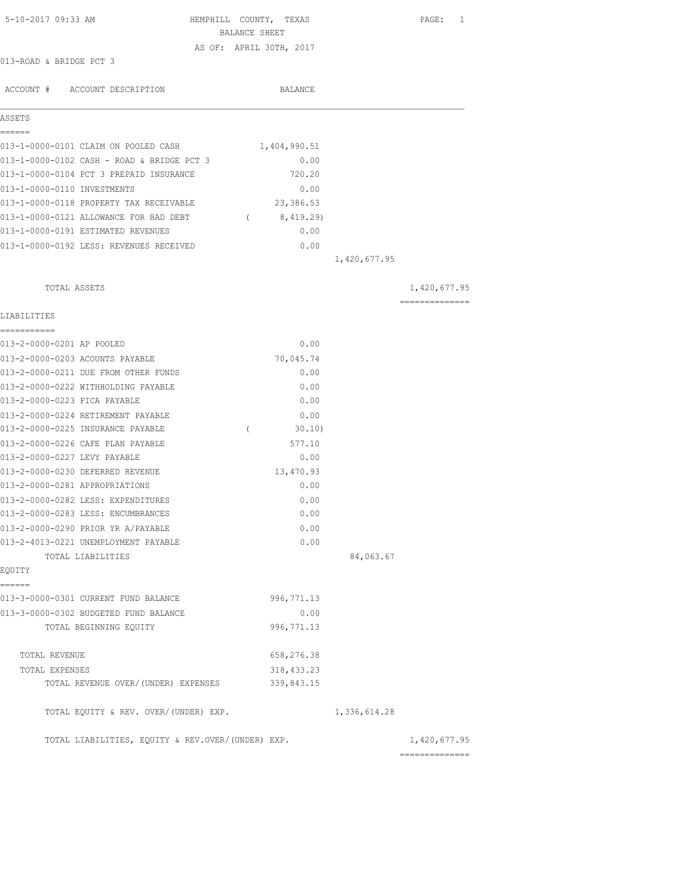| 5-10-2017 09:33 AM                                | HEMPHILL COUNTY, TEXAS<br>BALANCE SHEET |              | PAGE: 1                         |
|---------------------------------------------------|-----------------------------------------|--------------|---------------------------------|
|                                                   | AS OF: APRIL 30TH, 2017                 |              |                                 |
| 013-ROAD & BRIDGE PCT 3                           |                                         |              |                                 |
|                                                   |                                         |              |                                 |
| ACCOUNT # ACCOUNT DESCRIPTION                     | BALANCE                                 |              |                                 |
|                                                   |                                         |              |                                 |
| ASSETS                                            |                                         |              |                                 |
| 013-1-0000-0101 CLAIM ON POOLED CASH              | 1,404,990.51                            |              |                                 |
| 013-1-0000-0102 CASH - ROAD & BRIDGE PCT 3        | 0.00                                    |              |                                 |
| 013-1-0000-0104 PCT 3 PREPAID INSURANCE           | 720.20                                  |              |                                 |
| 013-1-0000-0110 INVESTMENTS                       | 0.00                                    |              |                                 |
| 013-1-0000-0118 PROPERTY TAX RECEIVABLE           | 23,386.53                               |              |                                 |
| 013-1-0000-0121 ALLOWANCE FOR BAD DEBT (8,419.29) |                                         |              |                                 |
| 013-1-0000-0191 ESTIMATED REVENUES                | 0.00                                    |              |                                 |
| 013-1-0000-0192 LESS: REVENUES RECEIVED           | 0.00                                    |              |                                 |
|                                                   |                                         | 1,420,677.95 |                                 |
| TOTAL ASSETS                                      |                                         |              | 1,420,677.95                    |
|                                                   |                                         |              | --------------                  |
| LIABILITIES                                       |                                         |              |                                 |
| 013-2-0000-0201 AP POOLED                         | 0.00                                    |              |                                 |
| 013-2-0000-0203 ACOUNTS PAYABLE                   | 70,045.74                               |              |                                 |
| 013-2-0000-0211 DUE FROM OTHER FUNDS              | 0.00                                    |              |                                 |
| 013-2-0000-0222 WITHHOLDING PAYABLE               | 0.00                                    |              |                                 |
| 013-2-0000-0223 FICA PAYABLE                      | 0.00                                    |              |                                 |
| 013-2-0000-0224 RETIREMENT PAYABLE                | 0.00                                    |              |                                 |
| 013-2-0000-0225 INSURANCE PAYABLE                 | 30.10<br>$\left($                       |              |                                 |
| 013-2-0000-0226 CAFE PLAN PAYABLE                 | 577.10                                  |              |                                 |
| 013-2-0000-0227 LEVY PAYABLE                      | 0.00                                    |              |                                 |
| 013-2-0000-0230 DEFERRED REVENUE                  | 13,470.93                               |              |                                 |
| 013-2-0000-0281 APPROPRIATIONS                    | 0.00                                    |              |                                 |
| 013-2-0000-0282 LESS: EXPENDITURES                | 0.00                                    |              |                                 |
| 013-2-0000-0283 LESS: ENCUMBRANCES                | 0.00                                    |              |                                 |
| 013-2-0000-0290 PRIOR YR A/PAYABLE                | 0.00                                    |              |                                 |
| 013-2-4013-0221 UNEMPLOYMENT PAYABLE              | 0.00                                    |              |                                 |
| TOTAL LIABILITIES                                 |                                         | 84,063.67    |                                 |
| EQUITY                                            |                                         |              |                                 |
| ======<br>013-3-0000-0301 CURRENT FUND BALANCE    | 996, 771.13                             |              |                                 |
| 013-3-0000-0302 BUDGETED FUND BALANCE             | 0.00                                    |              |                                 |
| TOTAL BEGINNING EQUITY                            | 996, 771.13                             |              |                                 |
|                                                   |                                         |              |                                 |
| TOTAL REVENUE                                     | 658,276.38                              |              |                                 |
| TOTAL EXPENSES                                    | 318, 433.23                             |              |                                 |
| TOTAL REVENUE OVER/(UNDER) EXPENSES               | 339,843.15                              |              |                                 |
| TOTAL EQUITY & REV. OVER/(UNDER) EXP.             |                                         | 1,336,614.28 |                                 |
| TOTAL LIABILITIES, EQUITY & REV.OVER/(UNDER) EXP. |                                         |              | 1,420,677.95<br>--------------- |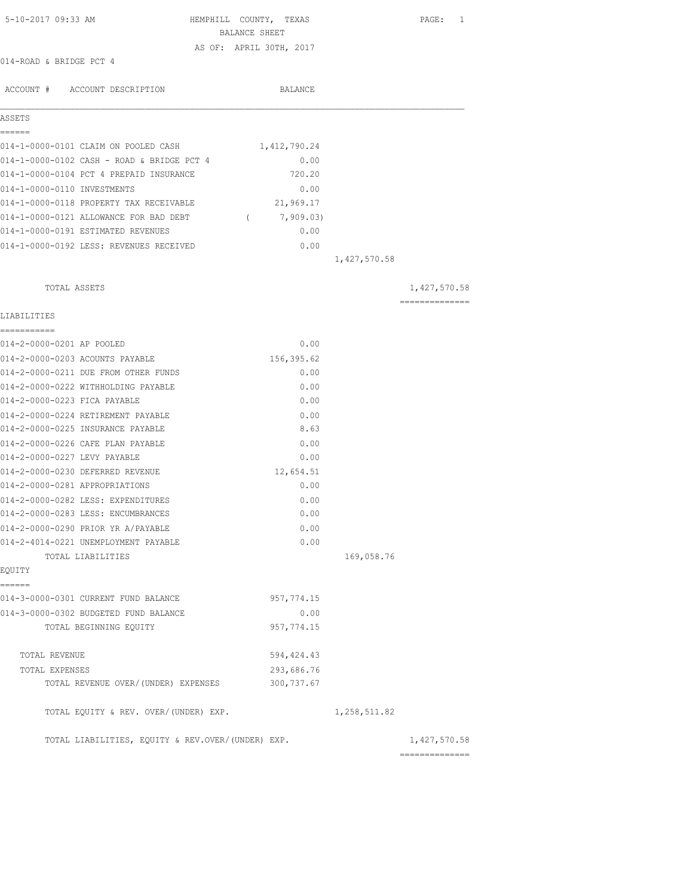| 5-10-2017 09:33 AM<br>HEMPHILL COUNTY, TEXAS      | BALANCE SHEET           |              | PAGE: 1        |
|---------------------------------------------------|-------------------------|--------------|----------------|
|                                                   | AS OF: APRIL 30TH, 2017 |              |                |
| 014-ROAD & BRIDGE PCT 4                           |                         |              |                |
|                                                   |                         |              |                |
| ACCOUNT # ACCOUNT DESCRIPTION                     | BALANCE                 |              |                |
| ASSETS                                            |                         |              |                |
|                                                   |                         |              |                |
| 014-1-0000-0101 CLAIM ON POOLED CASH              | 1,412,790.24            |              |                |
| 014-1-0000-0102 CASH - ROAD & BRIDGE PCT 4        | 0.00                    |              |                |
| 014-1-0000-0104 PCT 4 PREPAID INSURANCE           | 720.20                  |              |                |
| 014-1-0000-0110 INVESTMENTS                       | 0.00                    |              |                |
| 014-1-0000-0118 PROPERTY TAX RECEIVABLE           | 21,969.17               |              |                |
| 014-1-0000-0121 ALLOWANCE FOR BAD DEBT (7,909.03) |                         |              |                |
| 014-1-0000-0191 ESTIMATED REVENUES                | 0.00                    |              |                |
| 014-1-0000-0192 LESS: REVENUES RECEIVED           | 0.00                    |              |                |
|                                                   |                         | 1,427,570.58 |                |
| TOTAL ASSETS                                      |                         |              | 1,427,570.58   |
| LIABILITIES                                       |                         |              | -------------- |
|                                                   |                         |              |                |
| 014-2-0000-0201 AP POOLED                         | 0.00                    |              |                |
| 014-2-0000-0203 ACOUNTS PAYABLE                   | 156,395.62              |              |                |
| 014-2-0000-0211 DUE FROM OTHER FUNDS              | 0.00                    |              |                |
| 014-2-0000-0222 WITHHOLDING PAYABLE               | 0.00                    |              |                |
| 014-2-0000-0223 FICA PAYABLE                      | 0.00                    |              |                |
| 014-2-0000-0224 RETIREMENT PAYABLE                | 0.00                    |              |                |
| 014-2-0000-0225 INSURANCE PAYABLE                 | 8.63                    |              |                |
| 014-2-0000-0226 CAFE PLAN PAYABLE                 | 0.00                    |              |                |
| 014-2-0000-0227 LEVY PAYABLE                      | 0.00                    |              |                |
| 014-2-0000-0230 DEFERRED REVENUE                  | 12,654.51               |              |                |
| 014-2-0000-0281 APPROPRIATIONS                    | 0.00                    |              |                |
| 014-2-0000-0282 LESS: EXPENDITURES                | 0.00                    |              |                |
| 014-2-0000-0283 LESS: ENCUMBRANCES                | 0.00                    |              |                |
| 014-2-0000-0290 PRIOR YR A/PAYABLE                | 0.00                    |              |                |
| 014-2-4014-0221 UNEMPLOYMENT PAYABLE              | 0.00                    |              |                |
| TOTAL LIABILITIES                                 |                         | 169,058.76   |                |
| EQUITY<br>======                                  |                         |              |                |
| 014-3-0000-0301 CURRENT FUND BALANCE              | 957, 774.15             |              |                |
| 014-3-0000-0302 BUDGETED FUND BALANCE             | 0.00                    |              |                |
| TOTAL BEGINNING EQUITY                            | 957, 774.15             |              |                |
| TOTAL REVENUE                                     | 594, 424.43             |              |                |
| TOTAL EXPENSES                                    | 293,686.76              |              |                |
| TOTAL REVENUE OVER/(UNDER) EXPENSES               | 300, 737.67             |              |                |
| TOTAL EQUITY & REV. OVER/(UNDER) EXP.             |                         | 1,258,511.82 |                |
| TOTAL LIABILITIES, EQUITY & REV.OVER/(UNDER) EXP. |                         |              | 1,427,570.58   |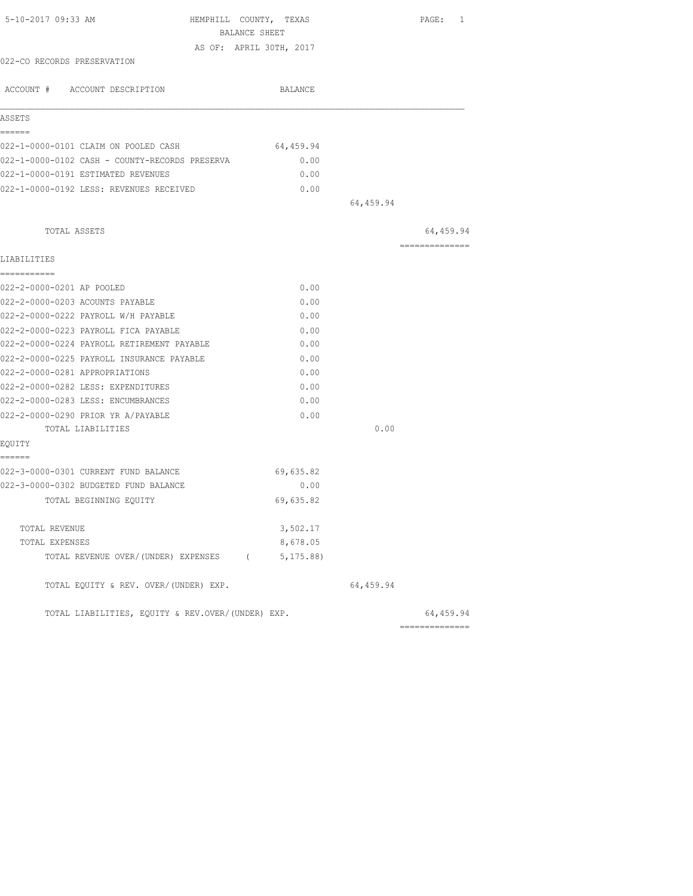|                                                   | BALANCE SHEET           |           |                |
|---------------------------------------------------|-------------------------|-----------|----------------|
|                                                   | AS OF: APRIL 30TH, 2017 |           |                |
| 022-CO RECORDS PRESERVATION                       |                         |           |                |
|                                                   |                         |           |                |
| ACCOUNT # ACCOUNT DESCRIPTION                     | BALANCE                 |           |                |
| ASSETS                                            |                         |           |                |
| ======                                            |                         |           |                |
| 022-1-0000-0101 CLAIM ON POOLED CASH              | 64,459.94               |           |                |
| 022-1-0000-0102 CASH - COUNTY-RECORDS PRESERVA    | 0.00                    |           |                |
| 022-1-0000-0191 ESTIMATED REVENUES                | 0.00                    |           |                |
| 022-1-0000-0192 LESS: REVENUES RECEIVED           | 0.00                    |           |                |
|                                                   |                         | 64,459.94 |                |
| TOTAL ASSETS                                      |                         |           | 64,459.94      |
| LIABILITIES                                       |                         |           | ============== |
| -----------                                       |                         |           |                |
| 022-2-0000-0201 AP POOLED                         | 0.00                    |           |                |
| 022-2-0000-0203 ACOUNTS PAYABLE                   | 0.00                    |           |                |
| 022-2-0000-0222 PAYROLL W/H PAYABLE               | 0.00                    |           |                |
| 022-2-0000-0223 PAYROLL FICA PAYABLE              | 0.00                    |           |                |
| 022-2-0000-0224 PAYROLL RETIREMENT PAYABLE        | 0.00                    |           |                |
| 022-2-0000-0225 PAYROLL INSURANCE PAYABLE         | 0.00                    |           |                |
| 022-2-0000-0281 APPROPRIATIONS                    | 0.00                    |           |                |
| 022-2-0000-0282 LESS: EXPENDITURES                | 0.00                    |           |                |
| 022-2-0000-0283 LESS: ENCUMBRANCES                | 0.00                    |           |                |
| 022-2-0000-0290 PRIOR YR A/PAYABLE                | 0.00                    |           |                |
| TOTAL LIABILITIES                                 |                         | 0.00      |                |
| EQUITY                                            |                         |           |                |
| ------                                            |                         |           |                |
| 022-3-0000-0301 CURRENT FUND BALANCE              | 69,635.82               |           |                |
| 022-3-0000-0302 BUDGETED FUND BALANCE             | 0.00                    |           |                |
| TOTAL BEGINNING EOUITY                            | 69,635.82               |           |                |
|                                                   |                         |           |                |
| TOTAL REVENUE                                     | 3,502.17                |           |                |
| TOTAL EXPENSES                                    | 8,678.05                |           |                |
| TOTAL REVENUE OVER/(UNDER) EXPENSES (5,175.88)    |                         |           |                |
| TOTAL EQUITY & REV. OVER/(UNDER) EXP.             |                         | 64,459.94 |                |
| TOTAL LIABILITIES, EQUITY & REV.OVER/(UNDER) EXP. |                         |           | 64,459.94      |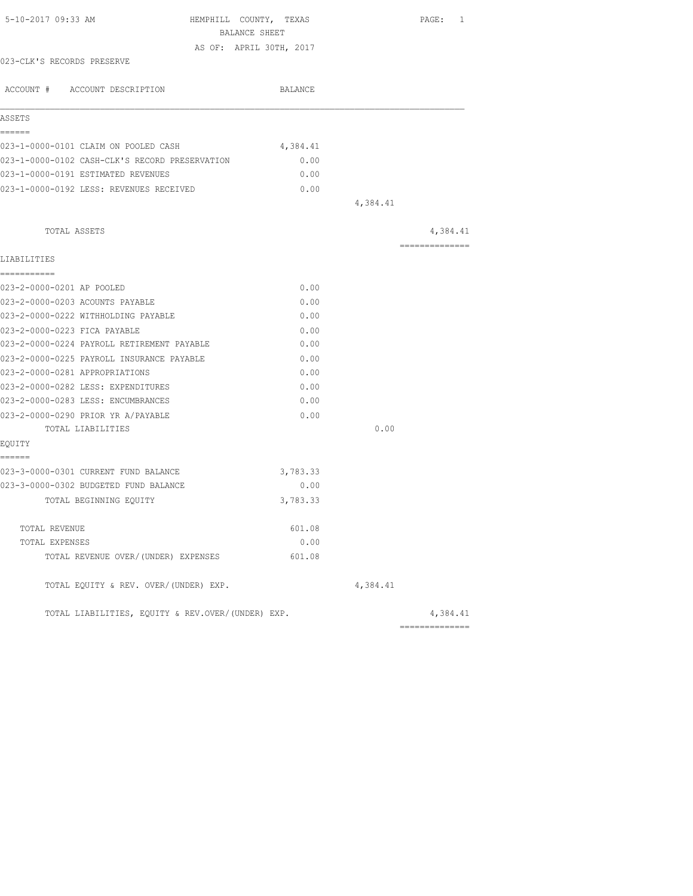|                                                             | BALANCE SHEET<br>AS OF: APRIL 30TH, 2017<br>BALANCE |          |                |
|-------------------------------------------------------------|-----------------------------------------------------|----------|----------------|
| 023-CLK'S RECORDS PRESERVE<br>ACCOUNT # ACCOUNT DESCRIPTION |                                                     |          |                |
|                                                             |                                                     |          |                |
|                                                             |                                                     |          |                |
|                                                             |                                                     |          |                |
| ASSETS                                                      |                                                     |          |                |
| ------                                                      |                                                     |          |                |
| 023-1-0000-0101 CLAIM ON POOLED CASH                        | 4,384.41                                            |          |                |
| 023-1-0000-0102 CASH-CLK'S RECORD PRESERVATION              | 0.00                                                |          |                |
| 023-1-0000-0191 ESTIMATED REVENUES                          | 0.00                                                |          |                |
| 023-1-0000-0192 LESS: REVENUES RECEIVED                     | 0.00                                                |          |                |
|                                                             |                                                     | 4,384.41 |                |
| TOTAL ASSETS                                                |                                                     |          | 4,384.41       |
|                                                             |                                                     |          | -------------- |
| LIABILITIES<br>===========                                  |                                                     |          |                |
| 023-2-0000-0201 AP POOLED                                   | 0.00                                                |          |                |
| 023-2-0000-0203 ACOUNTS PAYABLE                             | 0.00                                                |          |                |
| 023-2-0000-0222 WITHHOLDING PAYABLE                         | 0.00                                                |          |                |
| 023-2-0000-0223 FICA PAYABLE                                | 0.00                                                |          |                |
| 023-2-0000-0224 PAYROLL RETIREMENT PAYABLE                  | 0.00                                                |          |                |
| 023-2-0000-0225 PAYROLL INSURANCE PAYABLE                   | 0.00                                                |          |                |
| 023-2-0000-0281 APPROPRIATIONS                              | 0.00                                                |          |                |
| 023-2-0000-0282 LESS: EXPENDITURES                          | 0.00                                                |          |                |
| 023-2-0000-0283 LESS: ENCUMBRANCES                          | 0.00                                                |          |                |
| 023-2-0000-0290 PRIOR YR A/PAYABLE                          | 0.00                                                |          |                |
| TOTAL LIABILITIES                                           |                                                     | 0.00     |                |
| EOUITY                                                      |                                                     |          |                |
| ======                                                      |                                                     |          |                |
| 023-3-0000-0301 CURRENT FUND BALANCE                        | 3,783.33                                            |          |                |
| 023-3-0000-0302 BUDGETED FUND BALANCE                       | 0.00                                                |          |                |
| TOTAL BEGINNING EOUITY                                      | 3,783.33                                            |          |                |
| TOTAL REVENUE                                               | 601.08                                              |          |                |
| TOTAL EXPENSES                                              | 0.00                                                |          |                |
| TOTAL REVENUE OVER/(UNDER) EXPENSES                         | 601.08                                              |          |                |
| TOTAL EQUITY & REV. OVER/(UNDER) EXP.                       |                                                     | 4,384.41 |                |
| TOTAL LIABILITIES, EOUITY & REV.OVER/(UNDER) EXP.           |                                                     |          | 4,384.41       |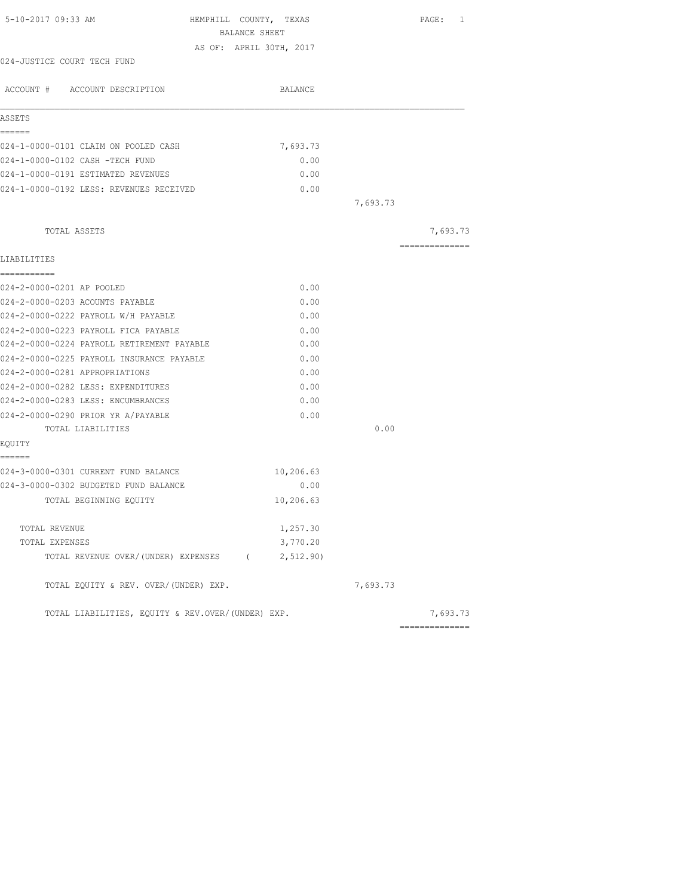| BALANCE SHEET                                          |          |                 |
|--------------------------------------------------------|----------|-----------------|
| AS OF: APRIL 30TH, 2017<br>024-JUSTICE COURT TECH FUND |          |                 |
|                                                        |          |                 |
| ACCOUNT # ACCOUNT DESCRIPTION<br>BALANCE               |          |                 |
| ASSETS                                                 |          |                 |
| ======                                                 |          |                 |
| 024-1-0000-0101 CLAIM ON POOLED CASH<br>7,693.73       |          |                 |
| 024-1-0000-0102 CASH -TECH FUND                        | 0.00     |                 |
| 024-1-0000-0191 ESTIMATED REVENUES                     | 0.00     |                 |
| 024-1-0000-0192 LESS: REVENUES RECEIVED                | 0.00     |                 |
|                                                        | 7,693.73 |                 |
| TOTAL ASSETS                                           |          | 7,693.73        |
| LIABILITIES                                            |          | --------------- |
| -----------                                            |          |                 |
| 024-2-0000-0201 AP POOLED                              | 0.00     |                 |
| 024-2-0000-0203 ACOUNTS PAYABLE                        | 0.00     |                 |
| 024-2-0000-0222 PAYROLL W/H PAYABLE                    | 0.00     |                 |
| 024-2-0000-0223 PAYROLL FICA PAYABLE                   | 0.00     |                 |
| 024-2-0000-0224 PAYROLL RETIREMENT PAYABLE             | 0.00     |                 |
| 024-2-0000-0225 PAYROLL INSURANCE PAYABLE              | 0.00     |                 |
| 024-2-0000-0281 APPROPRIATIONS                         | 0.00     |                 |
| 024-2-0000-0282 LESS: EXPENDITURES                     | 0.00     |                 |
| 024-2-0000-0283 LESS: ENCUMBRANCES                     | 0.00     |                 |
| 024-2-0000-0290 PRIOR YR A/PAYABLE                     | 0.00     |                 |
| TOTAL LIABILITIES                                      | 0.00     |                 |
| EQUITY<br>======                                       |          |                 |
| 024-3-0000-0301 CURRENT FUND BALANCE<br>10,206.63      |          |                 |
| 024-3-0000-0302 BUDGETED FUND BALANCE                  | 0.00     |                 |
| 10,206.63<br>TOTAL BEGINNING EQUITY                    |          |                 |
| 1,257.30<br>TOTAL REVENUE                              |          |                 |
| 3,770.20<br>TOTAL EXPENSES                             |          |                 |
| TOTAL REVENUE OVER/(UNDER) EXPENSES (2,512.90)         |          |                 |
| TOTAL EQUITY & REV. OVER/(UNDER) EXP.                  | 7,693.73 |                 |
| TOTAL LIABILITIES, EQUITY & REV.OVER/(UNDER) EXP.      |          | 7,693.73        |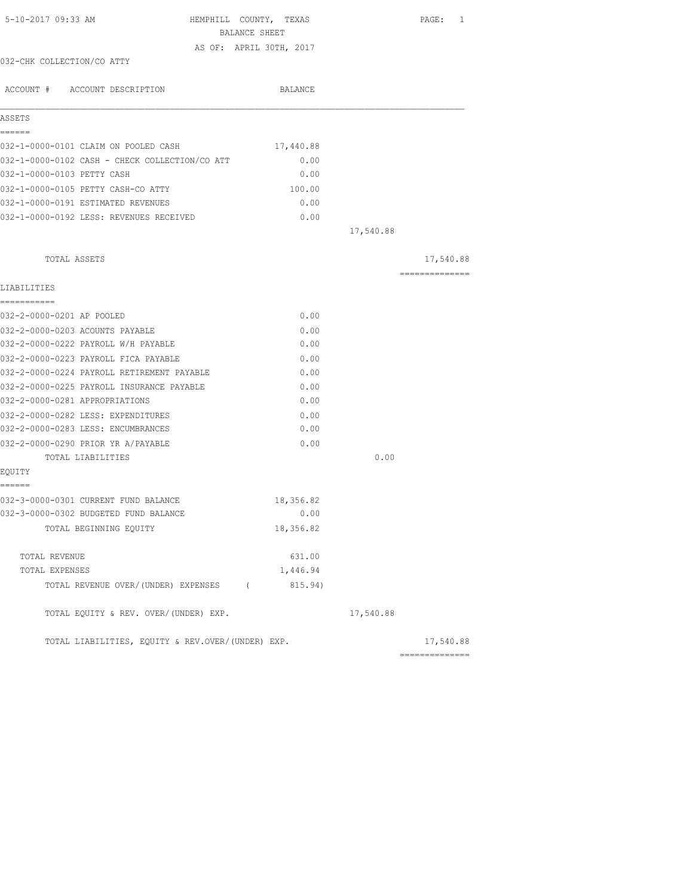| 5-10-2017 09:33 AM                                | HEMPHILL COUNTY, TEXAS<br>BALANCE SHEET |           | PAGE: 1        |
|---------------------------------------------------|-----------------------------------------|-----------|----------------|
|                                                   | AS OF: APRIL 30TH, 2017                 |           |                |
| 032-CHK COLLECTION/CO ATTY                        |                                         |           |                |
| ACCOUNT # ACCOUNT DESCRIPTION                     | BALANCE                                 |           |                |
| ASSETS                                            |                                         |           |                |
| ======                                            |                                         |           |                |
| 032-1-0000-0101 CLAIM ON POOLED CASH              | 17,440.88                               |           |                |
| 032-1-0000-0102 CASH - CHECK COLLECTION/CO ATT    | 0.00                                    |           |                |
| 032-1-0000-0103 PETTY CASH                        | 0.00                                    |           |                |
| 032-1-0000-0105 PETTY CASH-CO ATTY                | 100.00                                  |           |                |
| 032-1-0000-0191 ESTIMATED REVENUES                | 0.00                                    |           |                |
| 032-1-0000-0192 LESS: REVENUES RECEIVED           | 0.00                                    |           |                |
|                                                   |                                         | 17,540.88 |                |
| TOTAL ASSETS                                      |                                         |           | 17,540.88      |
|                                                   |                                         |           | -------------- |
| LIABILITIES                                       |                                         |           |                |
|                                                   |                                         |           |                |
| 032-2-0000-0201 AP POOLED                         | 0.00                                    |           |                |
| 032-2-0000-0203 ACOUNTS PAYABLE                   | 0.00                                    |           |                |
| 032-2-0000-0222 PAYROLL W/H PAYABLE               | 0.00                                    |           |                |
| 032-2-0000-0223 PAYROLL FICA PAYABLE              | 0.00                                    |           |                |
| 032-2-0000-0224 PAYROLL RETIREMENT PAYABLE        | 0.00                                    |           |                |
| 032-2-0000-0225 PAYROLL INSURANCE PAYABLE         | 0.00                                    |           |                |
| 032-2-0000-0281 APPROPRIATIONS                    | 0.00                                    |           |                |
| 032-2-0000-0282 LESS: EXPENDITURES                | 0.00                                    |           |                |
| 032-2-0000-0283 LESS: ENCUMBRANCES                | 0.00                                    |           |                |
| 032-2-0000-0290 PRIOR YR A/PAYABLE                | 0.00                                    |           |                |
| TOTAL LIABILITIES                                 |                                         | 0.00      |                |
| EOUITY<br>======                                  |                                         |           |                |
| 032-3-0000-0301 CURRENT FUND BALANCE              | 18,356.82                               |           |                |
| 032-3-0000-0302 BUDGETED FUND BALANCE             | 0.00                                    |           |                |
| TOTAL BEGINNING EQUITY                            | 18,356.82                               |           |                |
|                                                   |                                         |           |                |
| TOTAL REVENUE                                     | 631.00                                  |           |                |
| TOTAL EXPENSES                                    | 1,446.94                                |           |                |
| TOTAL REVENUE OVER/(UNDER) EXPENSES (             | 815.94)                                 |           |                |
| TOTAL EQUITY & REV. OVER/(UNDER) EXP.             |                                         | 17,540.88 |                |
| TOTAL LIABILITIES, EOUITY & REV.OVER/(UNDER) EXP. |                                         |           | 17,540.88      |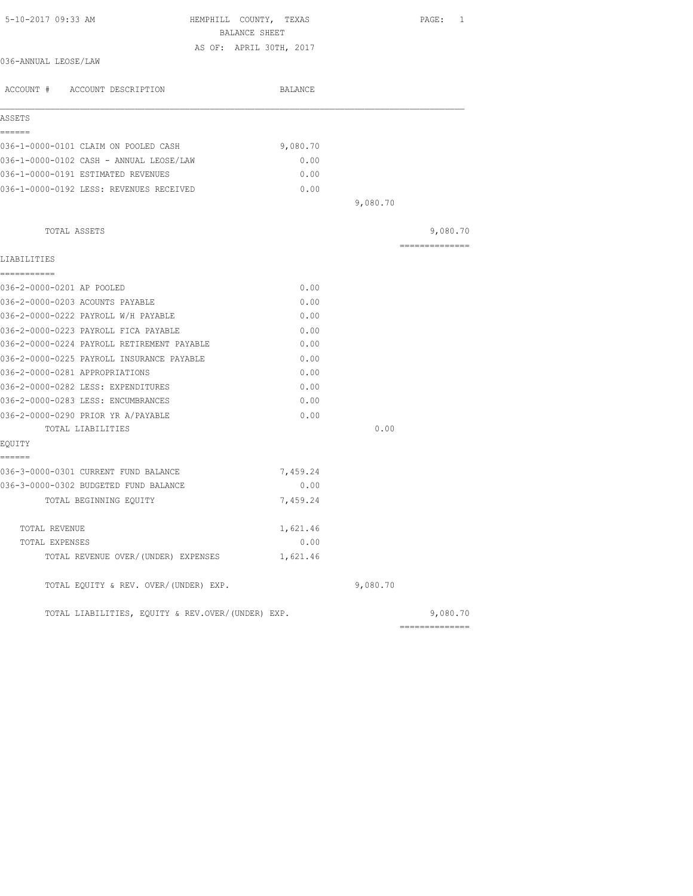| 5-10-2017 09:33 AM                                | HEMPHILL COUNTY, TEXAS<br>BALANCE SHEET |          | PAGE: 1        |
|---------------------------------------------------|-----------------------------------------|----------|----------------|
|                                                   | AS OF: APRIL 30TH, 2017                 |          |                |
| 036-ANNUAL LEOSE/LAW                              |                                         |          |                |
| ACCOUNT # ACCOUNT DESCRIPTION                     | BALANCE                                 |          |                |
| ASSETS                                            |                                         |          |                |
| ------                                            |                                         |          |                |
| 036-1-0000-0101 CLAIM ON POOLED CASH              | 9,080.70                                |          |                |
| 036-1-0000-0102 CASH - ANNUAL LEOSE/LAW           | 0.00                                    |          |                |
| 036-1-0000-0191 ESTIMATED REVENUES                | 0.00                                    |          |                |
| 036-1-0000-0192 LESS: REVENUES RECEIVED           | 0.00                                    |          |                |
|                                                   |                                         | 9,080.70 |                |
| TOTAL ASSETS                                      |                                         |          | 9,080.70       |
|                                                   |                                         |          | ============== |
| LIABILITIES                                       |                                         |          |                |
| -----------                                       |                                         |          |                |
| 036-2-0000-0201 AP POOLED                         | 0.00                                    |          |                |
| 036-2-0000-0203 ACOUNTS PAYABLE                   | 0.00                                    |          |                |
| 036-2-0000-0222 PAYROLL W/H PAYABLE               | 0.00                                    |          |                |
| 036-2-0000-0223 PAYROLL FICA PAYABLE              | 0.00                                    |          |                |
| 036-2-0000-0224 PAYROLL RETIREMENT PAYABLE        | 0.00                                    |          |                |
| 036-2-0000-0225 PAYROLL INSURANCE PAYABLE         | 0.00                                    |          |                |
| 036-2-0000-0281 APPROPRIATIONS                    | 0.00                                    |          |                |
| 036-2-0000-0282 LESS: EXPENDITURES                | 0.00                                    |          |                |
| 036-2-0000-0283 LESS: ENCUMBRANCES                | 0.00                                    |          |                |
| 036-2-0000-0290 PRIOR YR A/PAYABLE                | 0.00                                    |          |                |
| TOTAL LIABILITIES                                 |                                         | 0.00     |                |
| EQUITY<br>------                                  |                                         |          |                |
| 036-3-0000-0301 CURRENT FUND BALANCE              | 7,459.24                                |          |                |
| 036-3-0000-0302 BUDGETED FUND BALANCE             | 0.00                                    |          |                |
|                                                   |                                         |          |                |
| TOTAL BEGINNING EQUITY                            | 7,459.24                                |          |                |
| TOTAL REVENUE                                     | 1,621.46                                |          |                |
| TOTAL EXPENSES                                    | 0.00                                    |          |                |
| TOTAL REVENUE OVER/(UNDER) EXPENSES               | 1,621.46                                |          |                |
| TOTAL EQUITY & REV. OVER/(UNDER) EXP.             |                                         | 9,080.70 |                |
| TOTAL LIABILITIES, EQUITY & REV.OVER/(UNDER) EXP. |                                         |          | 9,080.70       |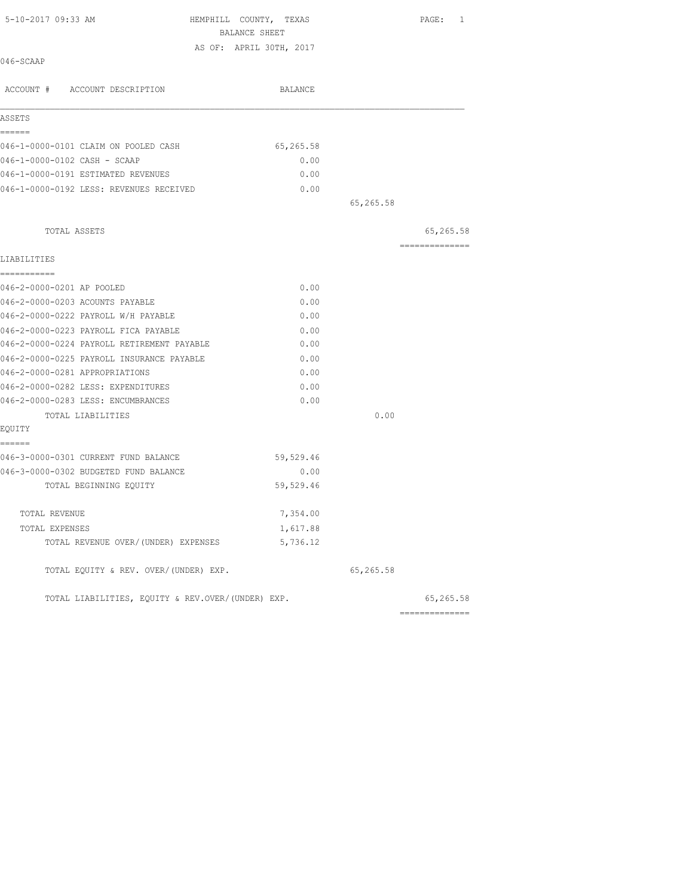| 5-10-2017 09:33 AM                                | HEMPHILL COUNTY, TEXAS  |           | PAGE: 1        |
|---------------------------------------------------|-------------------------|-----------|----------------|
|                                                   | BALANCE SHEET           |           |                |
| 046-SCAAP                                         | AS OF: APRIL 30TH, 2017 |           |                |
|                                                   |                         |           |                |
| ACCOUNT # ACCOUNT DESCRIPTION                     | BALANCE                 |           |                |
| ASSETS                                            |                         |           |                |
| ------                                            |                         |           |                |
| 046-1-0000-0101 CLAIM ON POOLED CASH              | 65,265.58               |           |                |
| 046-1-0000-0102 CASH - SCAAP                      | 0.00                    |           |                |
| 046-1-0000-0191 ESTIMATED REVENUES                | 0.00                    |           |                |
| 046-1-0000-0192 LESS: REVENUES RECEIVED           | 0.00                    |           |                |
|                                                   |                         | 65,265.58 |                |
| TOTAL ASSETS                                      |                         |           | 65,265.58      |
|                                                   |                         |           | ============== |
| LIABILITIES<br>===========                        |                         |           |                |
| 046-2-0000-0201 AP POOLED                         | 0.00                    |           |                |
| 046-2-0000-0203 ACOUNTS PAYABLE                   | 0.00                    |           |                |
| 046-2-0000-0222 PAYROLL W/H PAYABLE               | 0.00                    |           |                |
| 046-2-0000-0223 PAYROLL FICA PAYABLE              | 0.00                    |           |                |
| 046-2-0000-0224 PAYROLL RETIREMENT PAYABLE        | 0.00                    |           |                |
| 046-2-0000-0225 PAYROLL INSURANCE PAYABLE         | 0.00                    |           |                |
| 046-2-0000-0281 APPROPRIATIONS                    | 0.00                    |           |                |
| 046-2-0000-0282 LESS: EXPENDITURES                | 0.00                    |           |                |
| 046-2-0000-0283 LESS: ENCUMBRANCES                | 0.00                    |           |                |
| TOTAL LIABILITIES                                 |                         | 0.00      |                |
| EQUITY                                            |                         |           |                |
| ======                                            |                         |           |                |
| 046-3-0000-0301 CURRENT FUND BALANCE              | 59,529.46               |           |                |
| 046-3-0000-0302 BUDGETED FUND BALANCE             | 0.00                    |           |                |
| TOTAL BEGINNING EQUITY                            | 59,529.46               |           |                |
| TOTAL REVENUE                                     | 7,354.00                |           |                |
| TOTAL EXPENSES                                    | 1,617.88                |           |                |
| TOTAL REVENUE OVER/(UNDER) EXPENSES               | 5,736.12                |           |                |
| TOTAL EQUITY & REV. OVER/(UNDER) EXP.             |                         | 65,265.58 |                |
| TOTAL LIABILITIES, EQUITY & REV.OVER/(UNDER) EXP. |                         |           | 65,265.58      |
|                                                   |                         |           | ============== |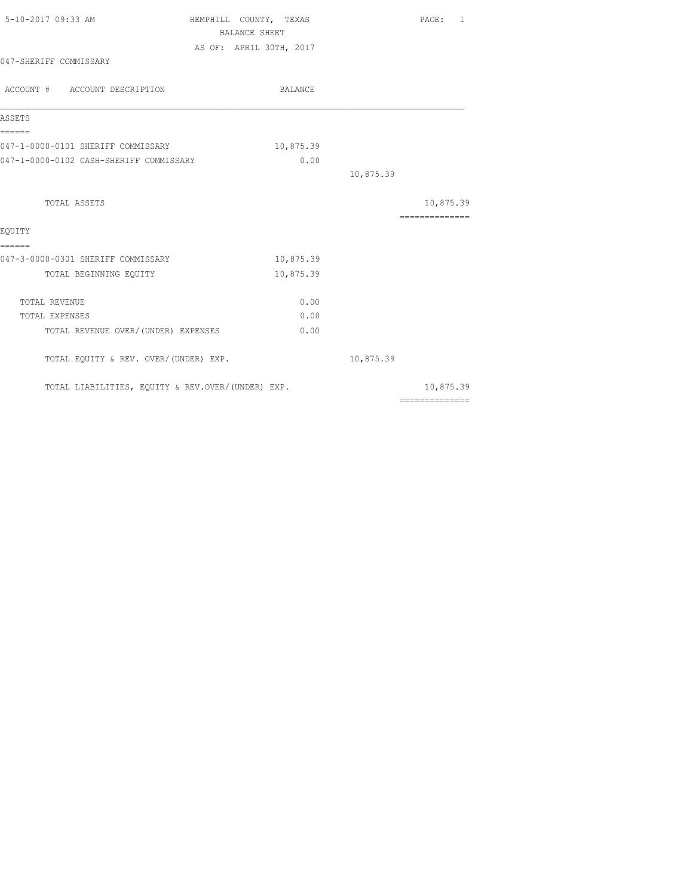| 5-10-2017 09:33 AM                                | HEMPHILL COUNTY, TEXAS<br><b>BALANCE SHEET</b> |           | PAGE:<br>1                                                                                                                                                                                                                                                                                                                                                                                                                                                                             |
|---------------------------------------------------|------------------------------------------------|-----------|----------------------------------------------------------------------------------------------------------------------------------------------------------------------------------------------------------------------------------------------------------------------------------------------------------------------------------------------------------------------------------------------------------------------------------------------------------------------------------------|
|                                                   | AS OF: APRIL 30TH, 2017                        |           |                                                                                                                                                                                                                                                                                                                                                                                                                                                                                        |
| 047-SHERIFF COMMISSARY                            |                                                |           |                                                                                                                                                                                                                                                                                                                                                                                                                                                                                        |
| ACCOUNT # ACCOUNT DESCRIPTION                     | BALANCE                                        |           |                                                                                                                                                                                                                                                                                                                                                                                                                                                                                        |
| ASSETS                                            |                                                |           |                                                                                                                                                                                                                                                                                                                                                                                                                                                                                        |
| ======<br>047-1-0000-0101 SHERIFF COMMISSARY      | 10,875.39                                      |           |                                                                                                                                                                                                                                                                                                                                                                                                                                                                                        |
| 047-1-0000-0102 CASH-SHERIFF COMMISSARY           | 0.00                                           |           |                                                                                                                                                                                                                                                                                                                                                                                                                                                                                        |
|                                                   |                                                | 10,875.39 |                                                                                                                                                                                                                                                                                                                                                                                                                                                                                        |
| TOTAL ASSETS                                      |                                                |           | 10,875.39                                                                                                                                                                                                                                                                                                                                                                                                                                                                              |
|                                                   |                                                |           | $\begin{array}{cccccccccc} \multicolumn{2}{c}{} & \multicolumn{2}{c}{} & \multicolumn{2}{c}{} & \multicolumn{2}{c}{} & \multicolumn{2}{c}{} & \multicolumn{2}{c}{} & \multicolumn{2}{c}{} & \multicolumn{2}{c}{} & \multicolumn{2}{c}{} & \multicolumn{2}{c}{} & \multicolumn{2}{c}{} & \multicolumn{2}{c}{} & \multicolumn{2}{c}{} & \multicolumn{2}{c}{} & \multicolumn{2}{c}{} & \multicolumn{2}{c}{} & \multicolumn{2}{c}{} & \multicolumn{2}{c}{} & \multicolumn{2}{c}{} & \mult$ |
| EOUITY<br>======                                  |                                                |           |                                                                                                                                                                                                                                                                                                                                                                                                                                                                                        |
| 047-3-0000-0301 SHERIFF COMMISSARY                | 10,875.39                                      |           |                                                                                                                                                                                                                                                                                                                                                                                                                                                                                        |
| TOTAL BEGINNING EQUITY                            | 10,875.39                                      |           |                                                                                                                                                                                                                                                                                                                                                                                                                                                                                        |
| TOTAL REVENUE                                     | 0.00                                           |           |                                                                                                                                                                                                                                                                                                                                                                                                                                                                                        |
| TOTAL EXPENSES                                    | 0.00                                           |           |                                                                                                                                                                                                                                                                                                                                                                                                                                                                                        |
| TOTAL REVENUE OVER/ (UNDER) EXPENSES              | 0.00                                           |           |                                                                                                                                                                                                                                                                                                                                                                                                                                                                                        |
| TOTAL EQUITY & REV. OVER/(UNDER) EXP.             |                                                | 10,875.39 |                                                                                                                                                                                                                                                                                                                                                                                                                                                                                        |
| TOTAL LIABILITIES, EQUITY & REV.OVER/(UNDER) EXP. |                                                |           | 10,875.39                                                                                                                                                                                                                                                                                                                                                                                                                                                                              |
|                                                   |                                                |           | $\begin{array}{cccccccccccccc} \multicolumn{2}{c}{} & \multicolumn{2}{c}{} & \multicolumn{2}{c}{} & \multicolumn{2}{c}{} & \multicolumn{2}{c}{} & \multicolumn{2}{c}{} & \multicolumn{2}{c}{} & \multicolumn{2}{c}{} & \multicolumn{2}{c}{} & \multicolumn{2}{c}{} & \multicolumn{2}{c}{} & \multicolumn{2}{c}{} & \multicolumn{2}{c}{} & \multicolumn{2}{c}{} & \multicolumn{2}{c}{} & \multicolumn{2}{c}{} & \multicolumn{2}{c}{} & \multicolumn{2}{c}{} & \multicolumn{2}{c}{} & \$ |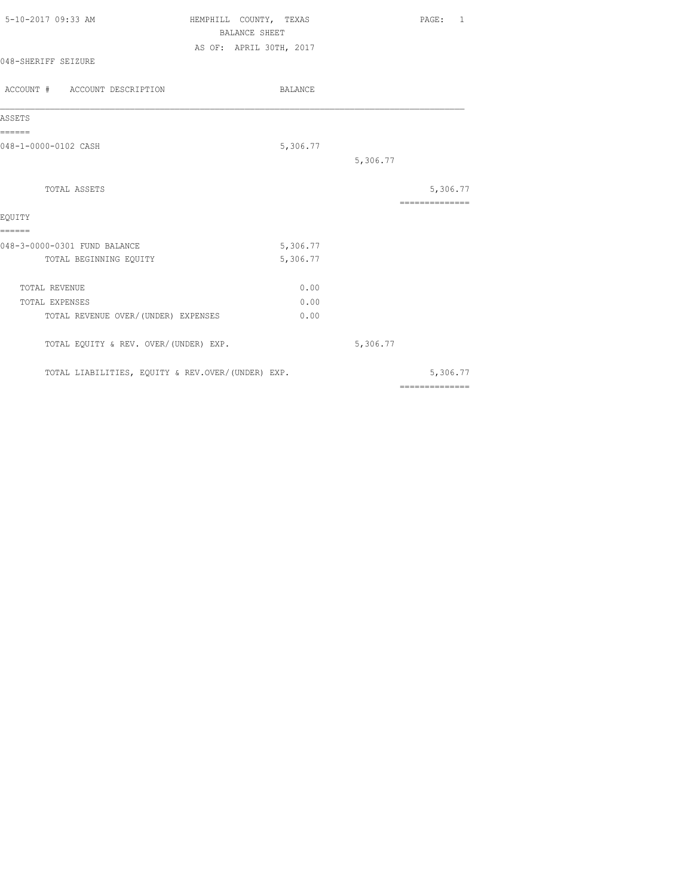| 5-10-2017 09:33 AM                                | HEMPHILL COUNTY, TEXAS<br><b>BALANCE SHEET</b> | PAGE: 1         |
|---------------------------------------------------|------------------------------------------------|-----------------|
|                                                   | AS OF: APRIL 30TH, 2017                        |                 |
| 048-SHERIFF SEIZURE                               |                                                |                 |
| ACCOUNT # ACCOUNT DESCRIPTION                     | <b>BALANCE</b>                                 |                 |
| ASSETS                                            |                                                |                 |
| ======<br>048-1-0000-0102 CASH                    | 5,306.77                                       |                 |
|                                                   |                                                | 5,306.77        |
| TOTAL ASSETS                                      |                                                | 5,306.77        |
| EQUITY                                            |                                                | --------------- |
| ======<br>048-3-0000-0301 FUND BALANCE            | 5,306.77                                       |                 |
| TOTAL BEGINNING EQUITY                            | 5,306.77                                       |                 |
| TOTAL REVENUE                                     | 0.00                                           |                 |
| TOTAL EXPENSES                                    | 0.00                                           |                 |
| TOTAL REVENUE OVER/(UNDER) EXPENSES               | 0.00                                           |                 |
| TOTAL EQUITY & REV. OVER/(UNDER) EXP.             |                                                | 5,306.77        |
| TOTAL LIABILITIES, EQUITY & REV.OVER/(UNDER) EXP. |                                                | 5,306.77        |
|                                                   |                                                | ==============  |